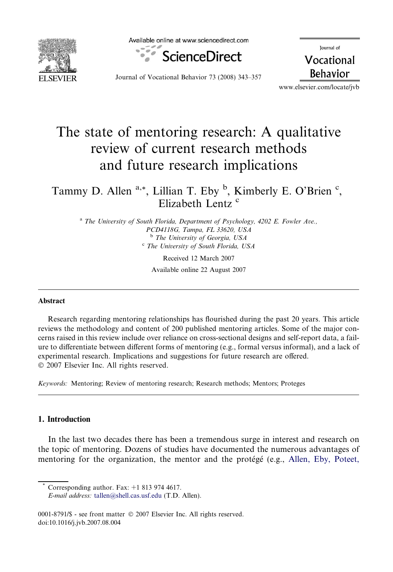

Available online at www.sciencedirect.com



lournal of Vocational **Behavior** 

Journal of Vocational Behavior 73 (2008) 343–357

www.elsevier.com/locate/jvb

## The state of mentoring research: A qualitative review of current research methods and future research implications

### Tammy D. Allen<sup>a,\*</sup>, Lillian T. Eby <sup>b</sup>, Kimberly E. O'Brien <sup>c</sup>, Elizabeth Lentz<sup>c</sup>

 $a$  The University of South Florida, Department of Psychology, 4202 E. Fowler Ave., PCD4118G, Tampa, FL 33620, USA <sup>b</sup> The University of Georgia, USA  $c$  The University of South Florida, USA

Received 12 March 2007 Available online 22 August 2007

#### Abstract

Research regarding mentoring relationships has flourished during the past 20 years. This article reviews the methodology and content of 200 published mentoring articles. Some of the major concerns raised in this review include over reliance on cross-sectional designs and self-report data, a failure to differentiate between different forms of mentoring (e.g., formal versus informal), and a lack of experimental research. Implications and suggestions for future research are offered. © 2007 Elsevier Inc. All rights reserved.

Keywords: Mentoring; Review of mentoring research; Research methods; Mentors; Proteges

### 1. Introduction

In the last two decades there has been a tremendous surge in interest and research on the topic of mentoring. Dozens of studies have documented the numerous advantages of mentoring for the organization, the mentor and the protégé (e.g., [Allen, Eby, Poteet,](#page--1-0)

Corresponding author. Fax:  $+1$  813 974 4617. E-mail address: [tallen@shell.cas.usf.edu](mailto:tallen@shell.cas.usf.edu) (T.D. Allen).

0001-8791/\$ - see front matter © 2007 Elsevier Inc. All rights reserved. doi:10.1016/j.jvb.2007.08.004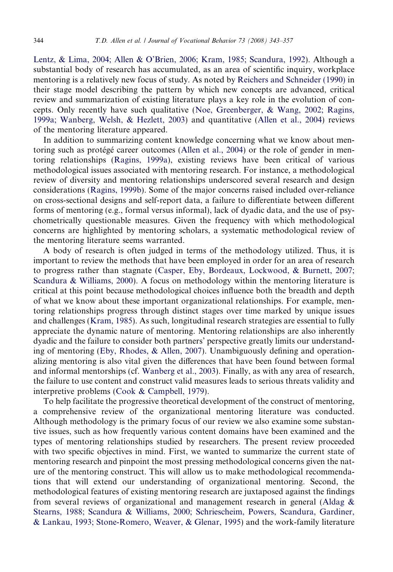[Lentz, & Lima, 2004; Allen & O'Brien, 2006; Kram, 1985; Scandura, 1992\)](#page--1-0). Although a substantial body of research has accumulated, as an area of scientific inquiry, workplace mentoring is a relatively new focus of study. As noted by [Reichers and Schneider \(1990\)](#page--1-0) in their stage model describing the pattern by which new concepts are advanced, critical review and summarization of existing literature plays a key role in the evolution of concepts. Only recently have such qualitative [\(Noe, Greenberger, & Wang, 2002; Ragins,](#page--1-0) [1999a; Wanberg, Welsh, & Hezlett, 2003](#page--1-0)) and quantitative [\(Allen et al., 2004](#page--1-0)) reviews of the mentoring literature appeared.

In addition to summarizing content knowledge concerning what we know about men-toring such as protégé career outcomes ([Allen et al., 2004](#page--1-0)) or the role of gender in mentoring relationships ([Ragins, 1999a\)](#page--1-0), existing reviews have been critical of various methodological issues associated with mentoring research. For instance, a methodological review of diversity and mentoring relationships underscored several research and design considerations ([Ragins, 1999b](#page--1-0)). Some of the major concerns raised included over-reliance on cross-sectional designs and self-report data, a failure to differentiate between different forms of mentoring (e.g., formal versus informal), lack of dyadic data, and the use of psychometrically questionable measures. Given the frequency with which methodological concerns are highlighted by mentoring scholars, a systematic methodological review of the mentoring literature seems warranted.

A body of research is often judged in terms of the methodology utilized. Thus, it is important to review the methods that have been employed in order for an area of research to progress rather than stagnate [\(Casper, Eby, Bordeaux, Lockwood, & Burnett, 2007;](#page--1-0) [Scandura & Williams, 2000](#page--1-0)). A focus on methodology within the mentoring literature is critical at this point because methodological choices influence both the breadth and depth of what we know about these important organizational relationships. For example, mentoring relationships progress through distinct stages over time marked by unique issues and challenges [\(Kram, 1985\)](#page--1-0). As such, longitudinal research strategies are essential to fully appreciate the dynamic nature of mentoring. Mentoring relationships are also inherently dyadic and the failure to consider both partners' perspective greatly limits our understanding of mentoring ([Eby, Rhodes, & Allen, 2007](#page--1-0)). Unambiguously defining and operationalizing mentoring is also vital given the differences that have been found between formal and informal mentorships (cf. Wanberg et al., 2003). Finally, as with any area of research, the failure to use content and construct valid measures leads to serious threats validity and interpretive problems [\(Cook & Campbell, 1979](#page--1-0)).

To help facilitate the progressive theoretical development of the construct of mentoring, a comprehensive review of the organizational mentoring literature was conducted. Although methodology is the primary focus of our review we also examine some substantive issues, such as how frequently various content domains have been examined and the types of mentoring relationships studied by researchers. The present review proceeded with two specific objectives in mind. First, we wanted to summarize the current state of mentoring research and pinpoint the most pressing methodological concerns given the nature of the mentoring construct. This will allow us to make methodological recommendations that will extend our understanding of organizational mentoring. Second, the methodological features of existing mentoring research are juxtaposed against the findings from several reviews of organizational and management research in general [\(Aldag &](#page--1-0) [Stearns, 1988; Scandura & Williams, 2000; Schriescheim, Powers, Scandura, Gardiner,](#page--1-0) [& Lankau, 1993; Stone-Romero, Weaver, & Glenar, 1995\)](#page--1-0) and the work-family literature